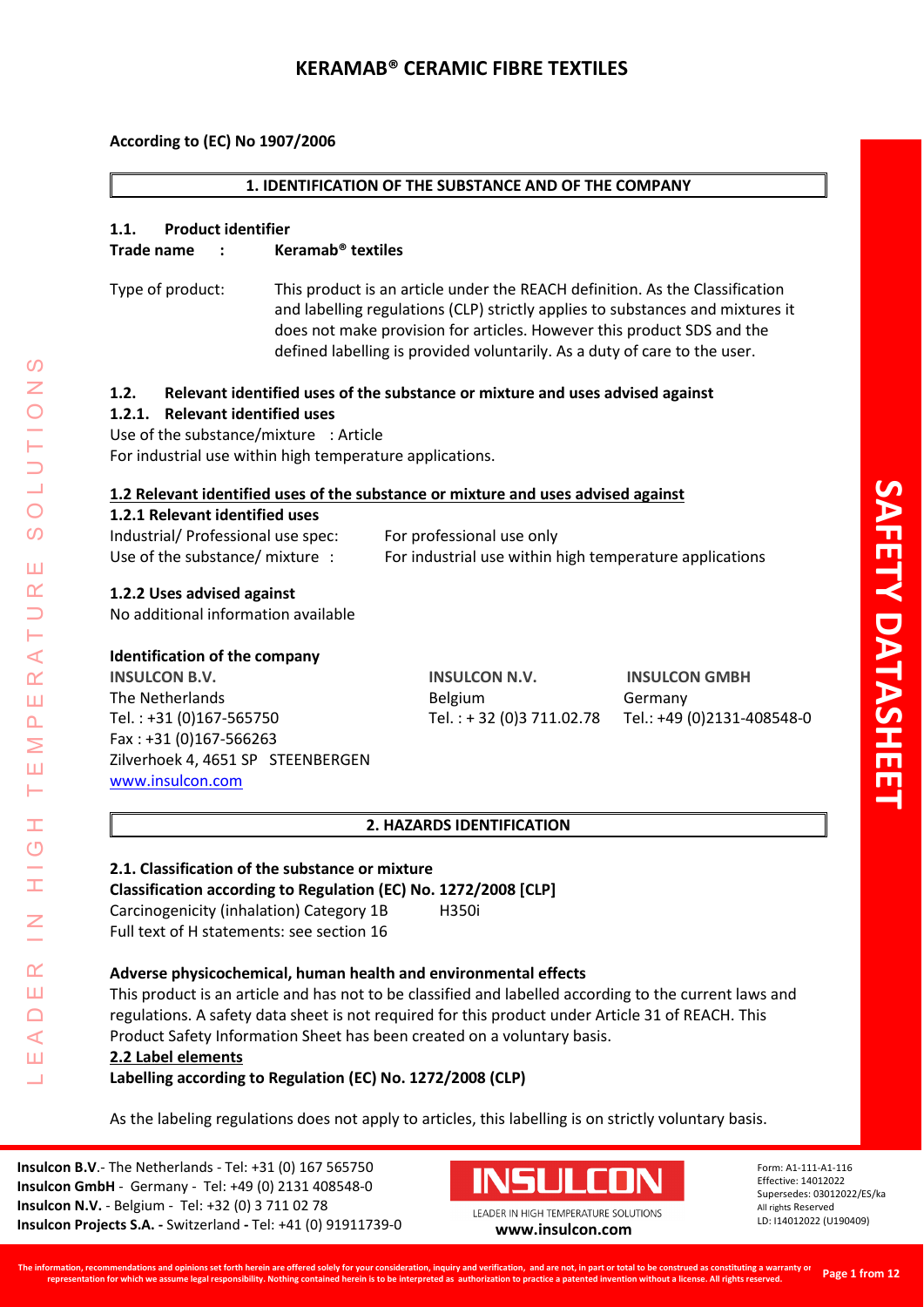### **1. IDENTIFICATION OF THE SUBSTANCE AND OF THE COMPANY**

### **1.1. Product identifier**

### **Trade name : Keramab® textiles**

Type of product: This product is an article under the REACH definition. As the Classification and labelling regulations (CLP) strictly applies to substances and mixtures it does not make provision for articles. However this product SDS and the defined labelling is provided voluntarily. As a duty of care to the user.

### **1.2. Relevant identified uses of the substance or mixture and uses advised against**

### **1.2.1. Relevant identified uses**

Use of the substance/mixture : Article For industrial use within high temperature applications.

### **1.2 Relevant identified uses of the substance or mixture and uses advised against**

### **1.2.1 Relevant identified uses**

| Industrial/ Professional use spec: | For professional use only                               |
|------------------------------------|---------------------------------------------------------|
| Use of the substance/ mixture .    | For industrial use within high temperature applications |

## **1.2.2 Uses advised against**

No additional information available

## **Identification of the company**

LEADER IN HIGH TEMPERATURE SOLUTIONS

Ŧ  $\circ$ 

 $\alpha$ Ш  $\Box$  $\blacktriangleleft$ Ш  $\overline{\phantom{0}}$ 

⋖  $\alpha$ Ш  $\overline{\mathbf{r}}$ Σ Ш H.

 $\Omega$ 

 $\overline{O}$  $\Omega$ 

ΠT  $\alpha$ 

> **INSULCON B.V. INSULCON N.V. INSULCON GMBH** The Netherlands **Southern Communist Communist Communist Communist Communist Communist Communist Communist Communist Communist Communist Communist Communist Communist Communist Communist Communist Communist Communist Commun** Tel. : +31 (0)167-565750 Tel. : + 32 (0)3 711.02.78 Tel.: +49 (0)2131-408548-0 Fax : +31 (0)167-566263 Zilverhoek 4, 4651 SP STEENBERGEN [www.insulcon.com](http://www.insulcon.com/)

### **2. HAZARDS IDENTIFICATION**

# **2.1. Classification of the substance or mixture Classification according to Regulation (EC) No. 1272/2008 [CLP]**

Carcinogenicity (inhalation) Category 1B H350i Full text of H statements: see section 16

## **Adverse physicochemical, human health and environmental effects**

This product is an article and has not to be classified and labelled according to the current laws and regulations. A safety data sheet is not required for this product under Article 31 of REACH. This Product Safety Information Sheet has been created on a voluntary basis.

## **2.2 Label elements**

**Labelling according to Regulation (EC) No. 1272/2008 (CLP)**

As the labeling regulations does not apply to articles, this labelling is on strictly voluntary basis.

**Insulcon B.V**.- The Netherlands - Tel: +31 (0) 167 565750 **Insulcon GmbH** - Germany - Tel: +49 (0) 2131 408548-0 **Insulcon N.V.** - Belgium - Tel: +32 (0) 3 711 02 78 **Insulcon Projects S.A. -** Switzerland **-** Tel: +41 (0) 91911739-0 **[www.insulcon.com](http://www.insulcon.com/)**

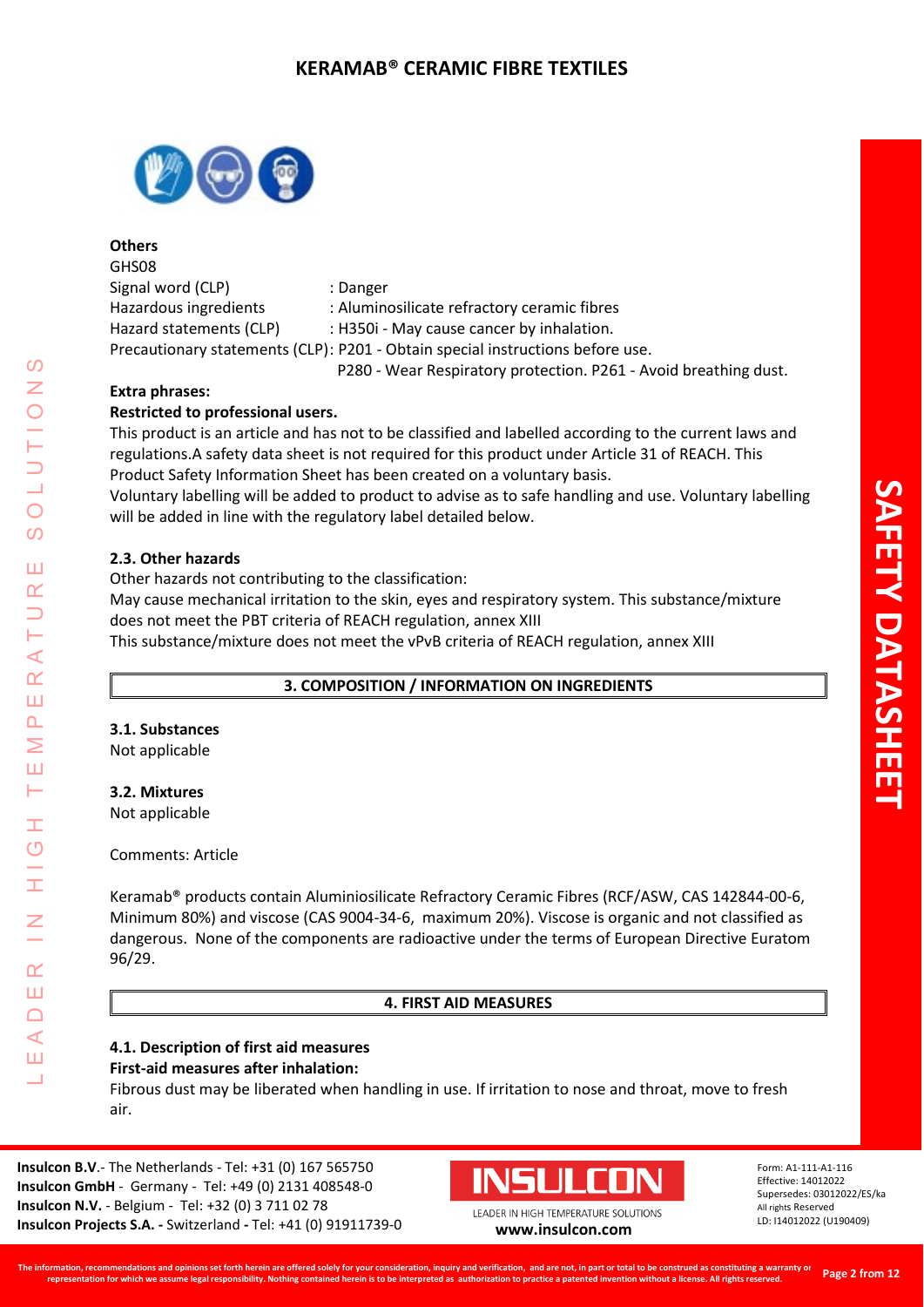

**Others**  GHS08 Signal word (CLP) : Danger Hazardous ingredients : Aluminosilicate refractory ceramic fibres Hazard statements (CLP) : H350i - May cause cancer by inhalation. Precautionary statements (CLP): P201 - Obtain special instructions before use. P280 - Wear Respiratory protection. P261 - Avoid breathing dust.

# **Extra phrases:**

# **Restricted to professional users.**

This product is an article and has not to be classified and labelled according to the current laws and regulations.A safety data sheet is not required for this product under Article 31 of REACH. This Product Safety Information Sheet has been created on a voluntary basis.

Voluntary labelling will be added to product to advise as to safe handling and use. Voluntary labelling will be added in line with the regulatory label detailed below.

# **2.3. Other hazards**

Other hazards not contributing to the classification:

May cause mechanical irritation to the skin, eyes and respiratory system. This substance/mixture does not meet the PBT criteria of REACH regulation, annex XIII

This substance/mixture does not meet the vPvB criteria of REACH regulation, annex XIII

# **3. COMPOSITION / INFORMATION ON INGREDIENTS**

# **3.1. Substances**

Not applicable

# **3.2. Mixtures**

Not applicable

## Comments: Article

Keramab® products contain Aluminiosilicate Refractory Ceramic Fibres (RCF/ASW, CAS 142844-00-6, Minimum 80%) and viscose (CAS 9004-34-6, maximum 20%). Viscose is organic and not classified as dangerous. None of the components are radioactive under the terms of European Directive Euratom 96/29.

# **4. FIRST AID MEASURES**

## **4.1. Description of first aid measures First-aid measures after inhalation:**

Fibrous dust may be liberated when handling in use. If irritation to nose and throat, move to fresh air.

**Insulcon B.V**.- The Netherlands - Tel: +31 (0) 167 565750 **Insulcon GmbH** - Germany - Tel: +49 (0) 2131 408548-0 **Insulcon N.V.** - Belgium - Tel: +32 (0) 3 711 02 78 **Insulcon Projects S.A. -** Switzerland **-** Tel: +41 (0) 91911739-0 **[www.insulcon.com](http://www.insulcon.com/)**



Form: A1-111-A1-116 Effective: 14012022 Supersedes: 03012022/ES/ka All rights Reserved LD: I14012022 (U190409)

 $\Omega$ LEADER IN HIGH TEMPERATURE SOLUTIONS  $\bigcirc$  $\Omega$ Ш  $\alpha$  $\prec$  $\alpha$ Ш  $\overline{\mathbf{r}}$ Σ Ш Н Ŧ  $\overline{O}$  $\alpha$ Ш  $\Box$  $\blacktriangleleft$ Ш  $\overline{\phantom{0}}$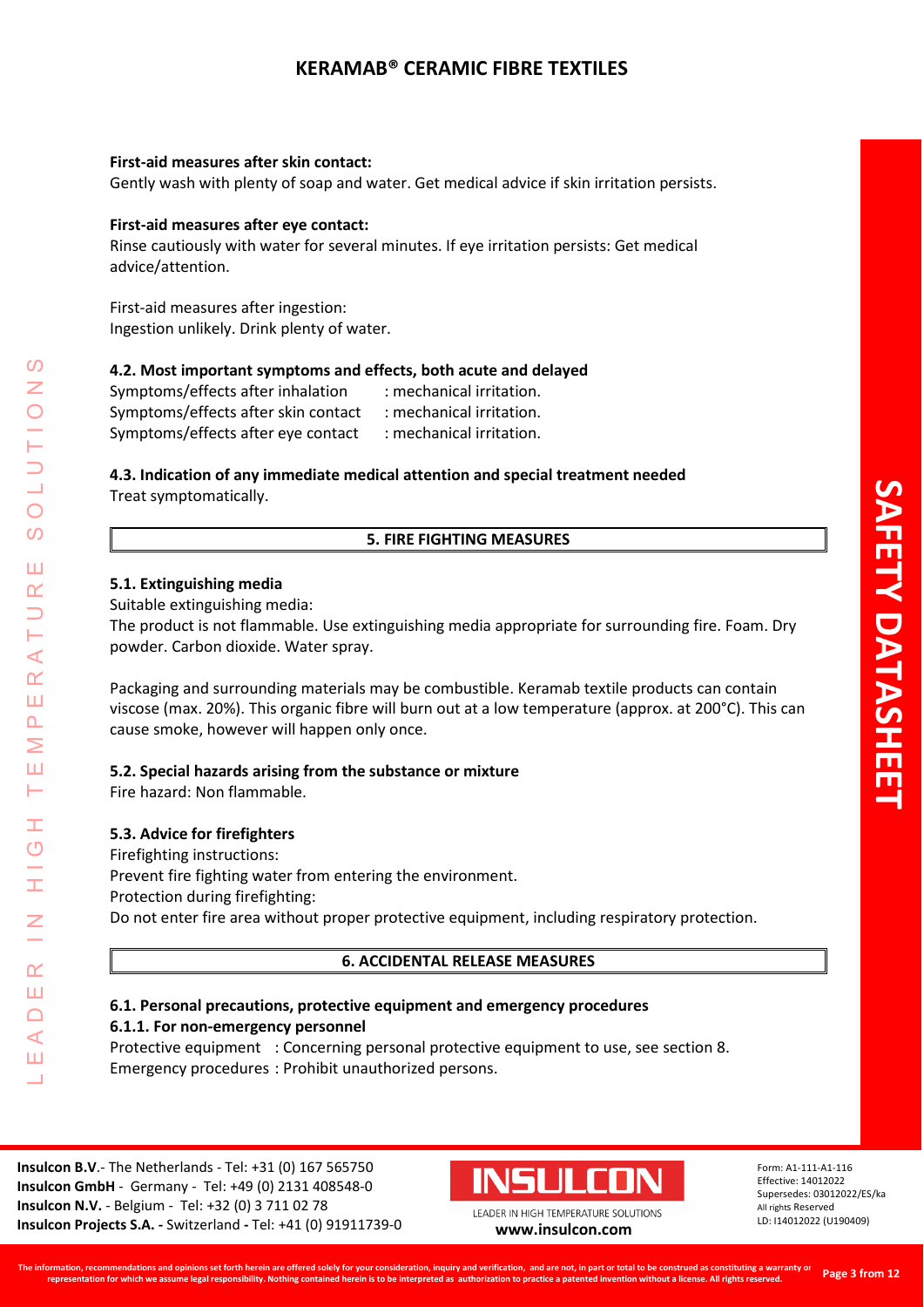## **First-aid measures after skin contact:**

Gently wash with plenty of soap and water. Get medical advice if skin irritation persists.

## **First-aid measures after eye contact:**

Rinse cautiously with water for several minutes. If eye irritation persists: Get medical advice/attention.

First-aid measures after ingestion: Ingestion unlikely. Drink plenty of water.

## **4.2. Most important symptoms and effects, both acute and delayed**

| Symptoms/effects after inhalation   | : mechanical irritation. |
|-------------------------------------|--------------------------|
| Symptoms/effects after skin contact | : mechanical irritation. |
| Symptoms/effects after eye contact  | : mechanical irritation. |

## **4.3. Indication of any immediate medical attention and special treatment needed** Treat symptomatically.

## **5. FIRE FIGHTING MEASURES**

## **5.1. Extinguishing media**

Suitable extinguishing media:

The product is not flammable. Use extinguishing media appropriate for surrounding fire. Foam. Dry powder. Carbon dioxide. Water spray.

Packaging and surrounding materials may be combustible. Keramab textile products can contain viscose (max. 20%). This organic fibre will burn out at a low temperature (approx. at 200°C). This can cause smoke, however will happen only once.

## **5.2. Special hazards arising from the substance or mixture**

Fire hazard: Non flammable.

## **5.3. Advice for firefighters**

Firefighting instructions: Prevent fire fighting water from entering the environment. Protection during firefighting: Do not enter fire area without proper protective equipment, including respiratory protection.

## **6. ACCIDENTAL RELEASE MEASURES**

# **6.1. Personal precautions, protective equipment and emergency procedures**

**6.1.1. For non-emergency personnel**

Protective equipment : Concerning personal protective equipment to use, see section 8. Emergency procedures : Prohibit unauthorized persons.

**Insulcon B.V**.- The Netherlands - Tel: +31 (0) 167 565750 **Insulcon GmbH** - Germany - Tel: +49 (0) 2131 408548-0 **Insulcon N.V.** - Belgium - Tel: +32 (0) 3 711 02 78 **Insulcon Projects S.A. -** Switzerland **-** Tel: +41 (0) 91911739-0 **[www.insulcon.com](http://www.insulcon.com/)**



Form: A1-111-A1-116 Effective: 14012022 Supersedes: 03012022/ES/ka All rights Reserved LD: I14012022 (U190409)

 $\mathcal{O}$ LEADER IN HIGH TEMPERATURE SOLUTIONS  $\bigcirc$  $\overline{O}$ Ш  $\alpha$  $\prec$  $\alpha$ Ш  $\overline{\mathbf{r}}$ Σ Ш Н Ŧ  $\overline{O}$  $\alpha$ Ш  $\Box$  $\blacktriangleleft$ Ш  $\overline{\phantom{0}}$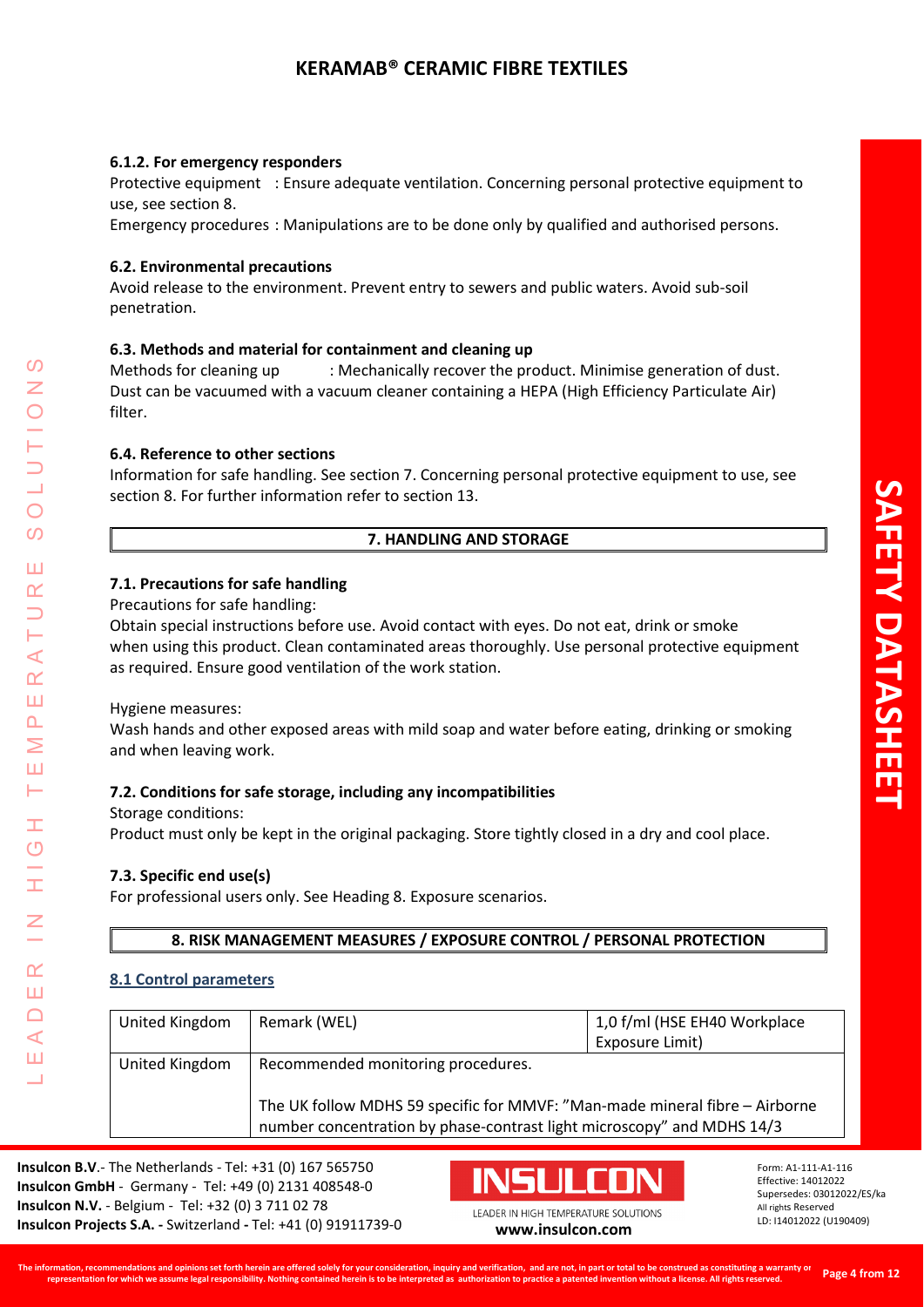### **6.1.2. For emergency responders**

Protective equipment : Ensure adequate ventilation. Concerning personal protective equipment to use, see section 8.

Emergency procedures : Manipulations are to be done only by qualified and authorised persons.

### **6.2. Environmental precautions**

Avoid release to the environment. Prevent entry to sewers and public waters. Avoid sub-soil penetration.

### **6.3. Methods and material for containment and cleaning up**

Methods for cleaning up : Mechanically recover the product. Minimise generation of dust. Dust can be vacuumed with a vacuum cleaner containing a HEPA (High Efficiency Particulate Air) filter.

### **6.4. Reference to other sections**

Information for safe handling. See section 7. Concerning personal protective equipment to use, see section 8. For further information refer to section 13.

## **7. HANDLING AND STORAGE**

### **7.1. Precautions for safe handling**

Precautions for safe handling:

Obtain special instructions before use. Avoid contact with eyes. Do not eat, drink or smoke when using this product. Clean contaminated areas thoroughly. Use personal protective equipment as required. Ensure good ventilation of the work station.

### Hygiene measures:

LEADER IN HIGH TEMPERATURE SOLUTIONS

Ŧ ග

 $\alpha$ Ш  $\Box$  $\blacktriangleleft$ Ш  $\overline{\phantom{0}}$ 

 $\prec$  $\alpha$ Ш  $\overline{\mathbf{r}}$ Σ Ш ⊢

 $\boldsymbol{\omega}$ 

 $\bigcirc$  $\overline{O}$ 

Ш  $\alpha$ 

> Wash hands and other exposed areas with mild soap and water before eating, drinking or smoking and when leaving work.

## **7.2. Conditions for safe storage, including any incompatibilities**

### Storage conditions:

Product must only be kept in the original packaging. Store tightly closed in a dry and cool place.

## **7.3. Specific end use(s)**

For professional users only. See Heading 8. Exposure scenarios.

**8. RISK MANAGEMENT MEASURES / EXPOSURE CONTROL / PERSONAL PROTECTION**

### **8.1 Control parameters**

| United Kingdom | Remark (WEL)                                                                                                                                          | 1,0 f/ml (HSE EH40 Workplace |
|----------------|-------------------------------------------------------------------------------------------------------------------------------------------------------|------------------------------|
|                |                                                                                                                                                       | Exposure Limit)              |
| United Kingdom | Recommended monitoring procedures.                                                                                                                    |                              |
|                | The UK follow MDHS 59 specific for MMVF: "Man-made mineral fibre - Airborne<br>number concentration by phase-contrast light microscopy" and MDHS 14/3 |                              |

**Insulcon B.V**.- The Netherlands - Tel: +31 (0) 167 565750 **Insulcon GmbH** - Germany - Tel: +49 (0) 2131 408548-0 **Insulcon N.V.** - Belgium - Tel: +32 (0) 3 711 02 78 **Insulcon Projects S.A. -** Switzerland **-** Tel: +41 (0) 91911739-0 **[www.insulcon.com](http://www.insulcon.com/)**

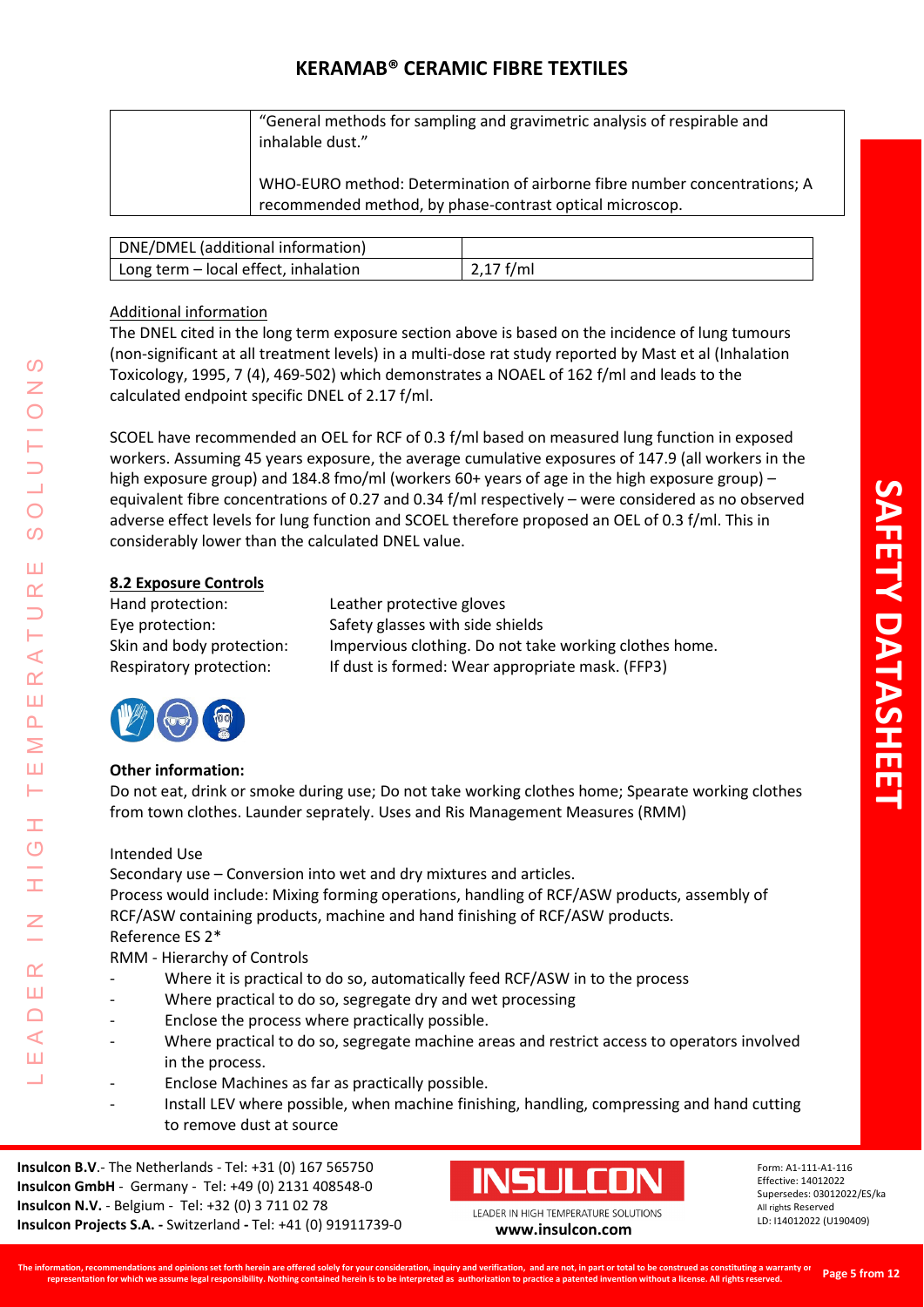| "General methods for sampling and gravimetric analysis of respirable and<br>inhalable dust."                                          |
|---------------------------------------------------------------------------------------------------------------------------------------|
| WHO-EURO method: Determination of airborne fibre number concentrations; A<br>recommended method, by phase-contrast optical microscop. |

| DNE/DMEL (additional information)    |             |
|--------------------------------------|-------------|
| Long term - local effect, inhalation | $2.17$ f/ml |

# Additional information

The DNEL cited in the long term exposure section above is based on the incidence of lung tumours (non-significant at all treatment levels) in a multi-dose rat study reported by Mast et al (Inhalation Toxicology, 1995, 7 (4), 469-502) which demonstrates a NOAEL of 162 f/ml and leads to the calculated endpoint specific DNEL of 2.17 f/ml.

SCOEL have recommended an OEL for RCF of 0.3 f/ml based on measured lung function in exposed workers. Assuming 45 years exposure, the average cumulative exposures of 147.9 (all workers in the high exposure group) and 184.8 fmo/ml (workers 60+ years of age in the high exposure group) – equivalent fibre concentrations of 0.27 and 0.34 f/ml respectively – were considered as no observed adverse effect levels for lung function and SCOEL therefore proposed an OEL of 0.3 f/ml. This in considerably lower than the calculated DNEL value.

# **8.2 Exposure Controls**

Hand protection: Leather protective gloves

Eye protection: Safety glasses with side shields Skin and body protection: Impervious clothing. Do not take working clothes home. Respiratory protection: If dust is formed: Wear appropriate mask. (FFP3)



LEADER IN HIGH TEMPERATURE SOLUTIONS

Ŧ  $\overline{O}$ 

 $\alpha$ Ш  $\Box$  $\blacktriangleleft$ Ш

 $\prec$  $\alpha$ Ш  $\Delta$ Σ Ш Н

 $\mathcal{O}$ 

 $\bigcirc$  $\overline{O}$ 

Ш  $\alpha$ 

# **Other information:**

Do not eat, drink or smoke during use; Do not take working clothes home; Spearate working clothes from town clothes. Launder seprately. Uses and Ris Management Measures (RMM)

# Intended Use

Secondary use – Conversion into wet and dry mixtures and articles. Process would include: Mixing forming operations, handling of RCF/ASW products, assembly of RCF/ASW containing products, machine and hand finishing of RCF/ASW products. Reference ES 2\* RMM - Hierarchy of Controls

- Where it is practical to do so, automatically feed RCF/ASW in to the process
- Where practical to do so, segregate dry and wet processing
- Enclose the process where practically possible.
- Where practical to do so, segregate machine areas and restrict access to operators involved in the process.
- Enclose Machines as far as practically possible.
- Install LEV where possible, when machine finishing, handling, compressing and hand cutting to remove dust at source

**Insulcon B.V**.- The Netherlands - Tel: +31 (0) 167 565750 **Insulcon GmbH** - Germany - Tel: +49 (0) 2131 408548-0 **Insulcon N.V.** - Belgium - Tel: +32 (0) 3 711 02 78 **Insulcon Projects S.A. -** Switzerland **-** Tel: +41 (0) 91911739-0 **[www.insulcon.com](http://www.insulcon.com/)**

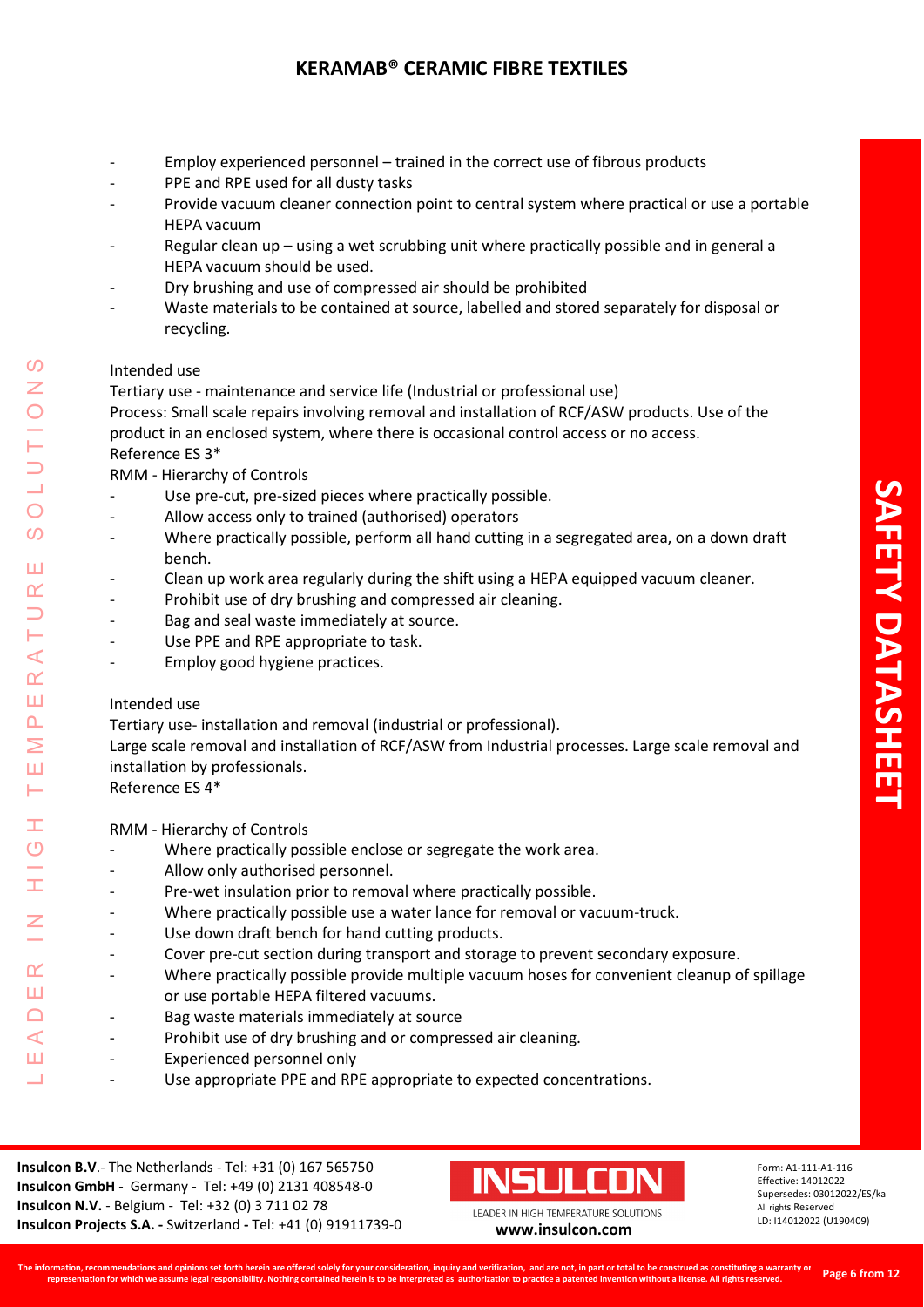- Employ experienced personnel trained in the correct use of fibrous products
- PPE and RPE used for all dusty tasks
- Provide vacuum cleaner connection point to central system where practical or use a portable HEPA vacuum
- Regular clean up using a wet scrubbing unit where practically possible and in general a HEPA vacuum should be used.
- Dry brushing and use of compressed air should be prohibited
- Waste materials to be contained at source, labelled and stored separately for disposal or recycling.

## Intended use

Tertiary use - maintenance and service life (Industrial or professional use)

Process: Small scale repairs involving removal and installation of RCF/ASW products. Use of the product in an enclosed system, where there is occasional control access or no access. Reference ES 3\*

RMM - Hierarchy of Controls

- Use pre-cut, pre-sized pieces where practically possible.
- Allow access only to trained (authorised) operators
- Where practically possible, perform all hand cutting in a segregated area, on a down draft bench.
- Clean up work area regularly during the shift using a HEPA equipped vacuum cleaner.
- Prohibit use of dry brushing and compressed air cleaning.
- Bag and seal waste immediately at source.
- Use PPE and RPE appropriate to task.
- Employ good hygiene practices.

## Intended use

Tertiary use- installation and removal (industrial or professional).

Large scale removal and installation of RCF/ASW from Industrial processes. Large scale removal and installation by professionals.

Reference ES 4\*

RMM - Hierarchy of Controls

- Where practically possible enclose or segregate the work area.
- Allow only authorised personnel.
- Pre-wet insulation prior to removal where practically possible.
- Where practically possible use a water lance for removal or vacuum-truck.
- Use down draft bench for hand cutting products.
- Cover pre-cut section during transport and storage to prevent secondary exposure.
- Where practically possible provide multiple vacuum hoses for convenient cleanup of spillage or use portable HEPA filtered vacuums.
- Bag waste materials immediately at source
- Prohibit use of dry brushing and or compressed air cleaning.
- Experienced personnel only
- Use appropriate PPE and RPE appropriate to expected concentrations.

**Insulcon B.V**.- The Netherlands - Tel: +31 (0) 167 565750 **Insulcon GmbH** - Germany - Tel: +49 (0) 2131 408548-0 **Insulcon N.V.** - Belgium - Tel: +32 (0) 3 711 02 78 **Insulcon Projects S.A. -** Switzerland **-** Tel: +41 (0) 91911739-0 **[www.insulcon.com](http://www.insulcon.com/)**

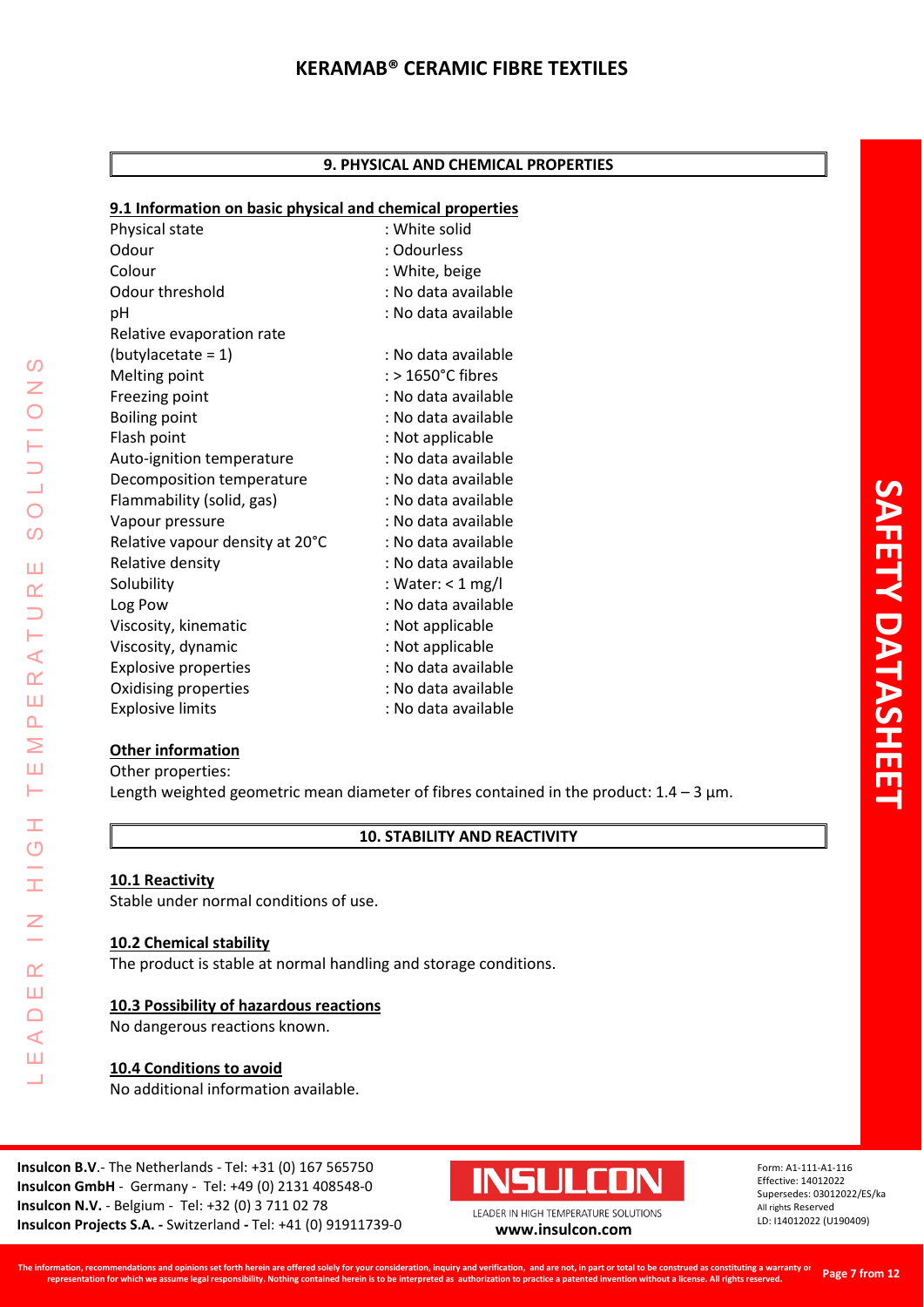### **9. PHYSICAL AND CHEMICAL PROPERTIES**

## **9.1 Information on basic physical and chemical properties**

| <u>s.i illiofination on basic physical and chemical properties</u> |                     |
|--------------------------------------------------------------------|---------------------|
| Physical state                                                     | : White solid       |
| Odour                                                              | : Odourless         |
| Colour                                                             | : White, beige      |
| Odour threshold                                                    | : No data available |
| pH                                                                 | : No data available |
| Relative evaporation rate                                          |                     |
| $(butylaceate = 1)$                                                | : No data available |
| Melting point                                                      | : > 1650°C fibres   |
| Freezing point                                                     | : No data available |
| <b>Boiling point</b>                                               | : No data available |
| Flash point                                                        | : Not applicable    |
| Auto-ignition temperature                                          | : No data available |
| Decomposition temperature                                          | : No data available |
| Flammability (solid, gas)                                          | : No data available |
| Vapour pressure                                                    | : No data available |
| Relative vapour density at 20°C                                    | : No data available |
| Relative density                                                   | : No data available |
| Solubility                                                         | : Water: $<$ 1 mg/l |
| Log Pow                                                            | : No data available |
| Viscosity, kinematic                                               | : Not applicable    |
| Viscosity, dynamic                                                 | : Not applicable    |
| <b>Explosive properties</b>                                        | : No data available |
| Oxidising properties                                               | : No data available |
| <b>Explosive limits</b>                                            | : No data available |

## **Other information**

Other properties: Length weighted geometric mean diameter of fibres contained in the product:  $1.4 - 3 \mu m$ .

# **10. STABILITY AND REACTIVITY**

# **10.1 Reactivity**

Stable under normal conditions of use.

## **10.2 Chemical stability**

The product is stable at normal handling and storage conditions.

## **10.3 Possibility of hazardous reactions**

No dangerous reactions known.

## **10.4 Conditions to avoid**

No additional information available.

**Insulcon B.V**.- The Netherlands - Tel: +31 (0) 167 565750 **Insulcon GmbH** - Germany - Tel: +49 (0) 2131 408548-0 **Insulcon N.V.** - Belgium - Tel: +32 (0) 3 711 02 78 **Insulcon Projects S.A. -** Switzerland **-** Tel: +41 (0) 91911739-0 **[www.insulcon.com](http://www.insulcon.com/)**



Form: A1-111-A1-116 Effective: 14012022 Supersedes: 03012022/ES/ka All rights Reserved LD: I14012022 (U190409)

 $\mathcal{O}$ LEADER IN HIGH TEMPERATURE SOLUTIONS  $\bar{z}$  $\bigcirc$  $\overline{O}$ Ш  $\alpha$  $\overline{\phantom{0}}$ H  $\prec$  $\alpha$ Ш  $\overline{\mathbf{r}}$ Σ Ш  $\vdash$ Ŧ  $\overline{O}$ Ŧ  $\overline{z}$  $\alpha$ Ш  $\Box$  $\triangleleft$ Ш  $\overline{\phantom{0}}$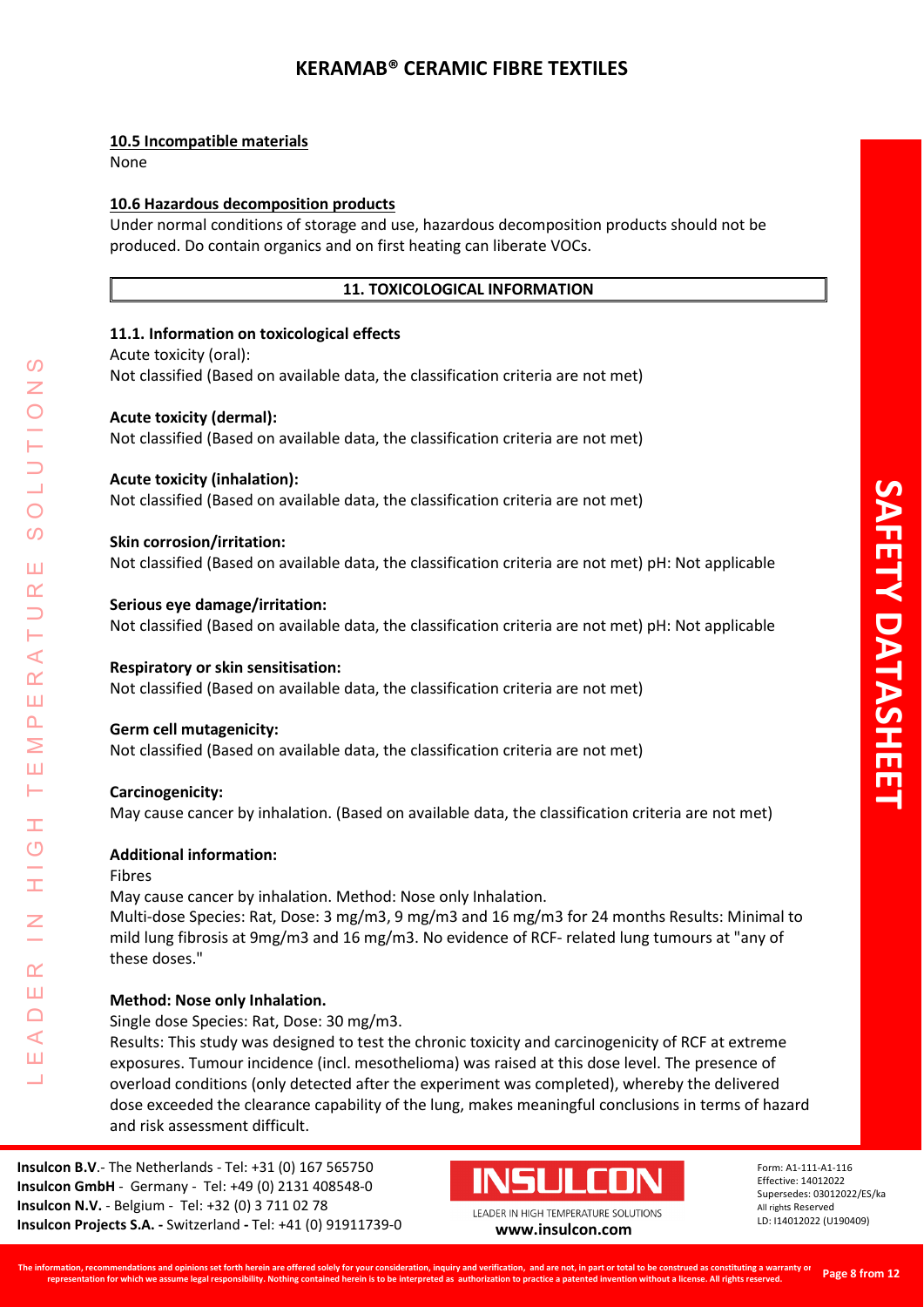## **10.5 Incompatible materials**

None

## **10.6 Hazardous decomposition products**

Under normal conditions of storage and use, hazardous decomposition products should not be produced. Do contain organics and on first heating can liberate VOCs.

## **11. TOXICOLOGICAL INFORMATION**

## **11.1. Information on toxicological effects**

### Acute toxicity (oral):

Not classified (Based on available data, the classification criteria are not met)

## **Acute toxicity (dermal):**

Not classified (Based on available data, the classification criteria are not met)

## **Acute toxicity (inhalation):**

Not classified (Based on available data, the classification criteria are not met)

### **Skin corrosion/irritation:**

Not classified (Based on available data, the classification criteria are not met) pH: Not applicable

### **Serious eye damage/irritation:**

Not classified (Based on available data, the classification criteria are not met) pH: Not applicable

### **Respiratory or skin sensitisation:**

Not classified (Based on available data, the classification criteria are not met)

### **Germ cell mutagenicity:**

Not classified (Based on available data, the classification criteria are not met)

## **Carcinogenicity:**

May cause cancer by inhalation. (Based on available data, the classification criteria are not met)

## **Additional information:**

### Fibres

LEADER IN HIGH TEMPERATURE SOLUTIONS

Ŧ  $\overline{O}$ 

 $\alpha$ Ш  $\Box$  $\blacktriangleleft$ Ш

 $\prec$  $\alpha$ Ш  $\overline{\mathbf{r}}$ Σ Ш ⊢

 $\Omega$ 

 $\bigcirc$  $\Omega$ 

Ш  $\alpha$ 

> May cause cancer by inhalation. Method: Nose only Inhalation. Multi-dose Species: Rat, Dose: 3 mg/m3, 9 mg/m3 and 16 mg/m3 for 24 months Results: Minimal to mild lung fibrosis at 9mg/m3 and 16 mg/m3. No evidence of RCF- related lung tumours at "any of these doses."

## **Method: Nose only Inhalation.**

Single dose Species: Rat, Dose: 30 mg/m3.

Results: This study was designed to test the chronic toxicity and carcinogenicity of RCF at extreme exposures. Tumour incidence (incl. mesothelioma) was raised at this dose level. The presence of overload conditions (only detected after the experiment was completed), whereby the delivered dose exceeded the clearance capability of the lung, makes meaningful conclusions in terms of hazard and risk assessment difficult.

**Insulcon B.V**.- The Netherlands - Tel: +31 (0) 167 565750 **Insulcon GmbH** - Germany - Tel: +49 (0) 2131 408548-0 **Insulcon N.V.** - Belgium - Tel: +32 (0) 3 711 02 78 **Insulcon Projects S.A. -** Switzerland **-** Tel: +41 (0) 91911739-0 **[www.insulcon.com](http://www.insulcon.com/)**

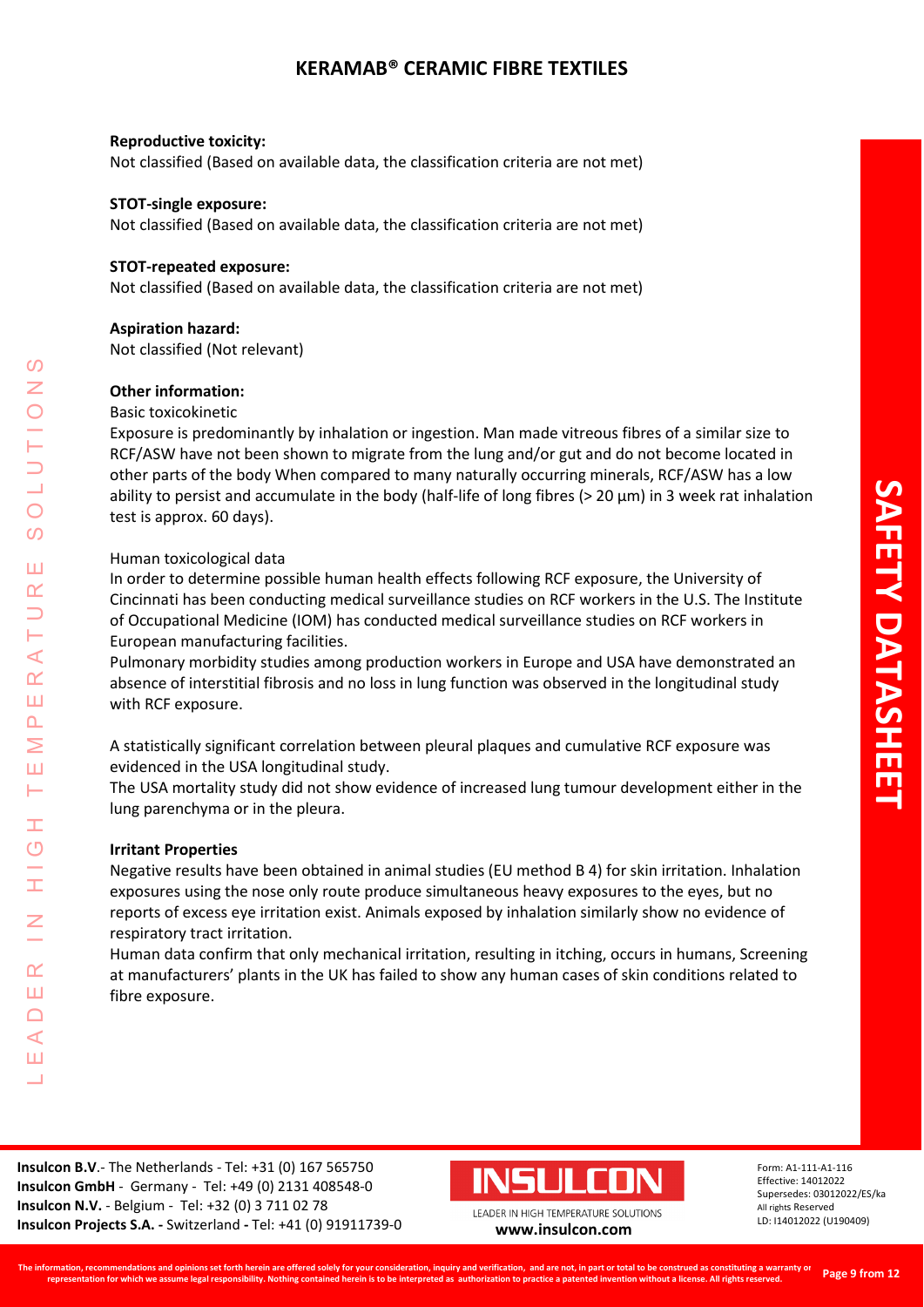### **Reproductive toxicity:**

Not classified (Based on available data, the classification criteria are not met)

### **STOT-single exposure:**

Not classified (Based on available data, the classification criteria are not met)

### **STOT-repeated exposure:**

Not classified (Based on available data, the classification criteria are not met)

### **Aspiration hazard:**

Not classified (Not relevant)

### **Other information:**

### Basic toxicokinetic

Exposure is predominantly by inhalation or ingestion. Man made vitreous fibres of a similar size to RCF/ASW have not been shown to migrate from the lung and/or gut and do not become located in other parts of the body When compared to many naturally occurring minerals, RCF/ASW has a low ability to persist and accumulate in the body (half-life of long fibres (> 20 μm) in 3 week rat inhalation test is approx. 60 days).

## Human toxicological data

In order to determine possible human health effects following RCF exposure, the University of Cincinnati has been conducting medical surveillance studies on RCF workers in the U.S. The Institute of Occupational Medicine (IOM) has conducted medical surveillance studies on RCF workers in European manufacturing facilities.

Pulmonary morbidity studies among production workers in Europe and USA have demonstrated an absence of interstitial fibrosis and no loss in lung function was observed in the longitudinal study with RCF exposure.

A statistically significant correlation between pleural plaques and cumulative RCF exposure was evidenced in the USA longitudinal study.

The USA mortality study did not show evidence of increased lung tumour development either in the lung parenchyma or in the pleura.

## **Irritant Properties**

LEADER IN HIGH TEMPERATURE SOLUTIONS

Ŧ  $\overline{O}$ 

 $\alpha$ Ш  $\Box$  $\blacktriangleleft$ Ш  $\overline{\phantom{0}}$ 

 $\blacktriangleleft$  $\underline{\alpha}$ Ш  $\Delta$ Σ Ш Н

 $\boldsymbol{\omega}$ 

 $\bigcirc$  $\Omega$ 

Ш  $\alpha$ 

> Negative results have been obtained in animal studies (EU method B 4) for skin irritation. Inhalation exposures using the nose only route produce simultaneous heavy exposures to the eyes, but no reports of excess eye irritation exist. Animals exposed by inhalation similarly show no evidence of respiratory tract irritation.

> Human data confirm that only mechanical irritation, resulting in itching, occurs in humans, Screening at manufacturers' plants in the UK has failed to show any human cases of skin conditions related to fibre exposure.

**Insulcon B.V**.- The Netherlands - Tel: +31 (0) 167 565750 **Insulcon GmbH** - Germany - Tel: +49 (0) 2131 408548-0 **Insulcon N.V.** - Belgium - Tel: +32 (0) 3 711 02 78 **Insulcon Projects S.A. -** Switzerland **-** Tel: +41 (0) 91911739-0 **[www.insulcon.com](http://www.insulcon.com/)**



LEADER IN HIGH TEMPERATURE SOLUTIONS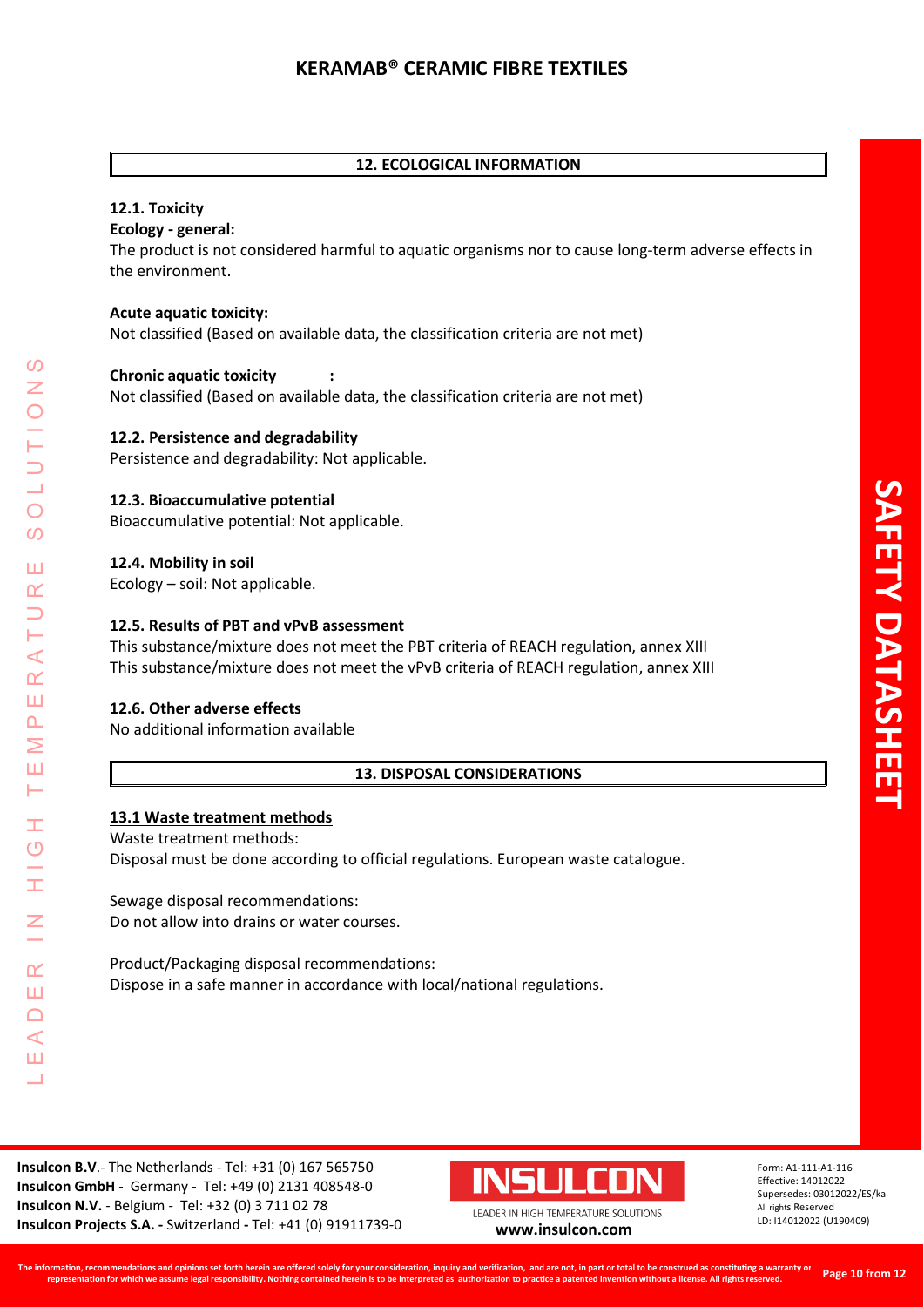# **12. ECOLOGICAL INFORMATION**

# **12.1. Toxicity**

## **Ecology - general:**

The product is not considered harmful to aquatic organisms nor to cause long-term adverse effects in the environment.

## **Acute aquatic toxicity:**

Not classified (Based on available data, the classification criteria are not met)

## **Chronic aquatic toxicity :**

Not classified (Based on available data, the classification criteria are not met)

## **12.2. Persistence and degradability**

Persistence and degradability: Not applicable.

## **12.3. Bioaccumulative potential**

Bioaccumulative potential: Not applicable.

## **12.4. Mobility in soil**

Ecology – soil: Not applicable.

## **12.5. Results of PBT and vPvB assessment**

This substance/mixture does not meet the PBT criteria of REACH regulation, annex XIII This substance/mixture does not meet the vPvB criteria of REACH regulation, annex XIII

# **12.6. Other adverse effects**

LEADER IN HIGH TEMPERATURE SOLUTIONS

Ŧ.  $\overline{O}$ 

 $\alpha$ Ш  $\Box$  $\blacktriangleleft$ Ш  $\overline{\phantom{0}}$ 

 $\prec$  $\alpha$ Ш  $\Delta$ Σ Ш Н

 $\Omega$ 

 $\bigcirc$  $\overline{O}$ 

Ш  $\alpha$ 

No additional information available

## **13. DISPOSAL CONSIDERATIONS**

## **13.1 Waste treatment methods**

Waste treatment methods:

Disposal must be done according to official regulations. European waste catalogue.

Sewage disposal recommendations: Do not allow into drains or water courses.

Product/Packaging disposal recommendations: Dispose in a safe manner in accordance with local/national regulations.

**Insulcon B.V**.- The Netherlands - Tel: +31 (0) 167 565750 **Insulcon GmbH** - Germany - Tel: +49 (0) 2131 408548-0 **Insulcon N.V.** - Belgium - Tel: +32 (0) 3 711 02 78 **Insulcon Projects S.A. -** Switzerland **-** Tel: +41 (0) 91911739-0 **[www.insulcon.com](http://www.insulcon.com/)**

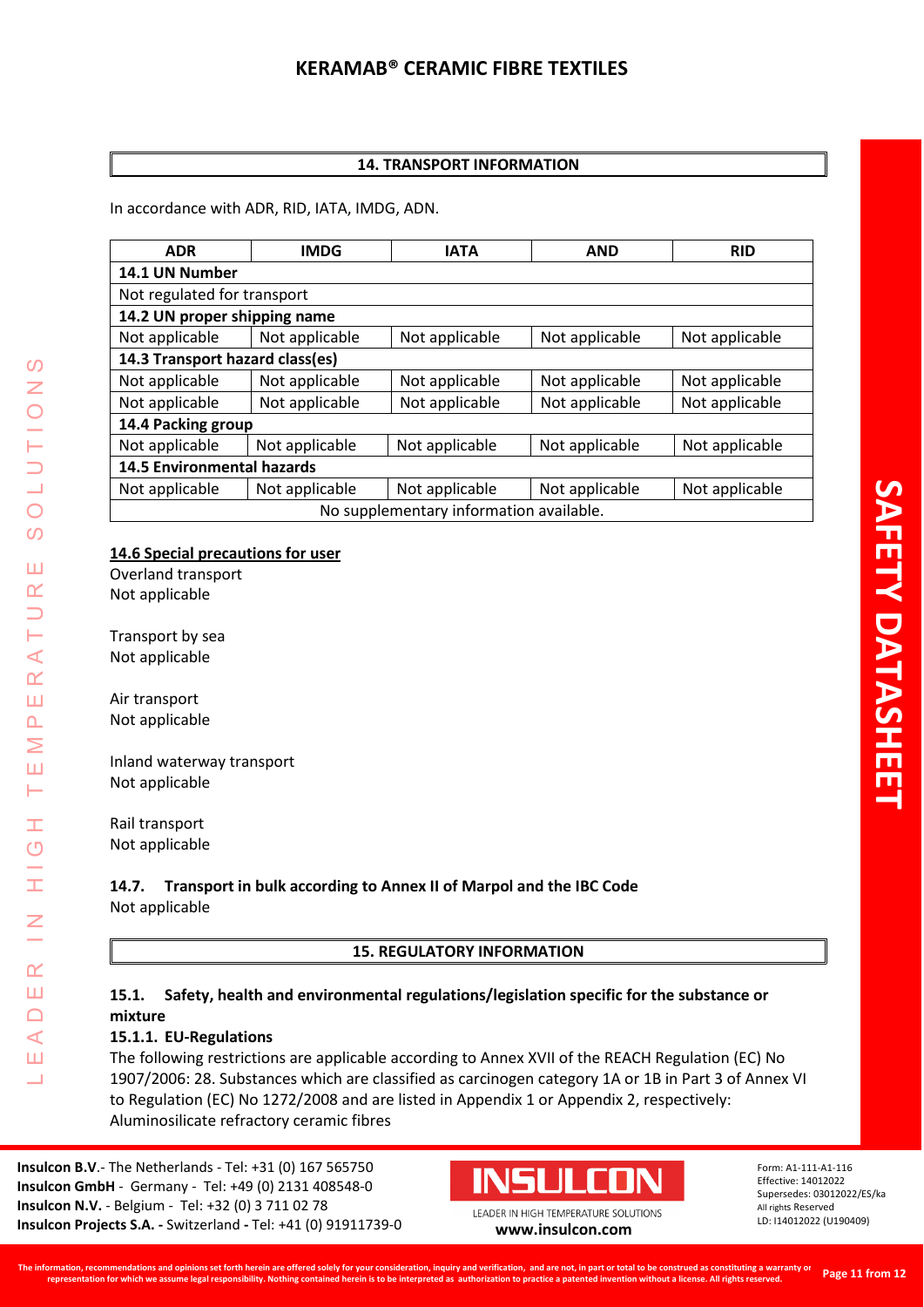# **14. TRANSPORT INFORMATION**

In accordance with ADR, RID, IATA, IMDG, ADN.

| <b>ADR</b>                              | <b>IMDG</b>    | <b>IATA</b>    | <b>AND</b>     | <b>RID</b>     |
|-----------------------------------------|----------------|----------------|----------------|----------------|
| 14.1 UN Number                          |                |                |                |                |
| Not regulated for transport             |                |                |                |                |
| 14.2 UN proper shipping name            |                |                |                |                |
| Not applicable                          | Not applicable | Not applicable | Not applicable | Not applicable |
| 14.3 Transport hazard class(es)         |                |                |                |                |
| Not applicable                          | Not applicable | Not applicable | Not applicable | Not applicable |
| Not applicable                          | Not applicable | Not applicable | Not applicable | Not applicable |
| 14.4 Packing group                      |                |                |                |                |
| Not applicable                          | Not applicable | Not applicable | Not applicable | Not applicable |
| <b>14.5 Environmental hazards</b>       |                |                |                |                |
| Not applicable                          | Not applicable | Not applicable | Not applicable | Not applicable |
| No supplementary information available. |                |                |                |                |

# **14.6 Special precautions for user**

Overland transport Not applicable

Transport by sea Not applicable

Air transport Not applicable

LEADER IN HIGH TEMPERATURE SOLUTIONS

Ŧ  $\overline{O}$ 

I

 $\alpha$ Ш  $\Box$  $\prec$ Ш  $\overline{\phantom{0}}$ 

 $\omega$ Z

 $\bigcirc$  $\overline{O}$ 

Ш  $\alpha$ 

Н  $\blacktriangleleft$  $\underline{\alpha}$ Ш  $\overline{\mathbf{r}}$ Σ Ш Н

Inland waterway transport Not applicable

Rail transport Not applicable

## **14.7. Transport in bulk according to Annex II of Marpol and the IBC Code** Not applicable

# **15. REGULATORY INFORMATION**

# **15.1. Safety, health and environmental regulations/legislation specific for the substance or mixture**

# **15.1.1. EU-Regulations**

The following restrictions are applicable according to Annex XVII of the REACH Regulation (EC) No 1907/2006: 28. Substances which are classified as carcinogen category 1A or 1B in Part 3 of Annex VI to Regulation (EC) No 1272/2008 and are listed in Appendix 1 or Appendix 2, respectively: Aluminosilicate refractory ceramic fibres

**Insulcon B.V**.- The Netherlands - Tel: +31 (0) 167 565750 **Insulcon GmbH** - Germany - Tel: +49 (0) 2131 408548-0 **Insulcon N.V.** - Belgium - Tel: +32 (0) 3 711 02 78 **Insulcon Projects S.A. -** Switzerland **-** Tel: +41 (0) 91911739-0 **[www.insulcon.com](http://www.insulcon.com/)**